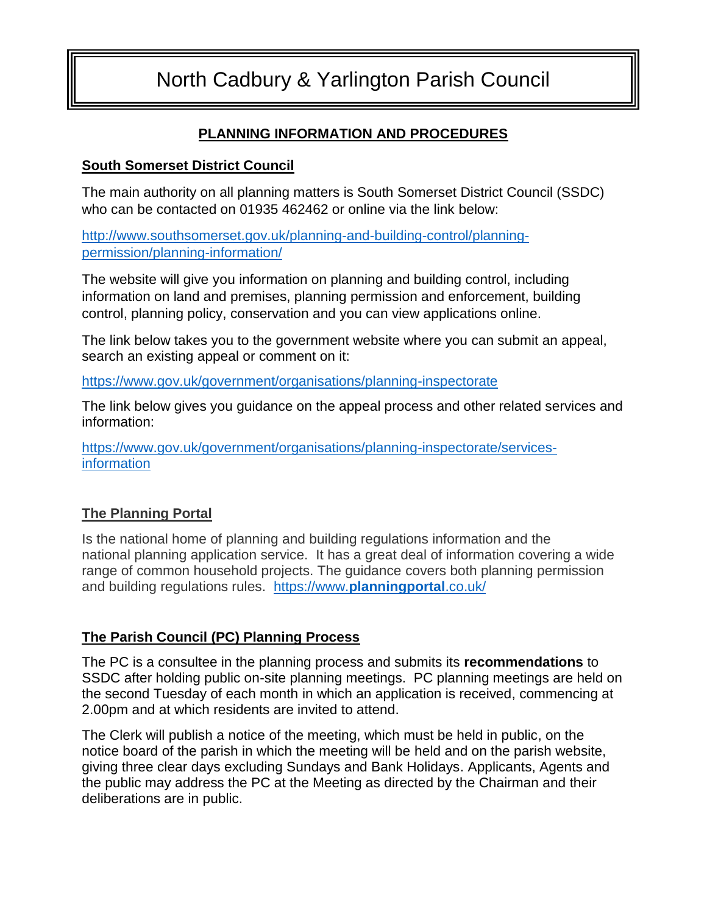# North Cadbury & Yarlington Parish Council

# **PLANNING INFORMATION AND PROCEDURES**

#### **South Somerset District Council**

The main authority on all planning matters is South Somerset District Council (SSDC) who can be contacted on 01935 462462 or online via the link below:

[http://www.southsomerset.gov.uk/planning-and-building-control/planning](http://www.southsomerset.gov.uk/planning-and-building-control/planning-permission/planning-information/)[permission/planning-information/](http://www.southsomerset.gov.uk/planning-and-building-control/planning-permission/planning-information/)

The website will give you information on planning and building control, including information on land and premises, planning permission and enforcement, building control, planning policy, conservation and you can view applications online.

The link below takes you to the government website where you can submit an appeal, search an existing appeal or comment on it:

<https://www.gov.uk/government/organisations/planning-inspectorate>

The link below gives you guidance on the appeal process and other related services and information:

[https://www.gov.uk/government/organisations/planning-inspectorate/services](https://www.gov.uk/government/organisations/planning-inspectorate/services-information)[information](https://www.gov.uk/government/organisations/planning-inspectorate/services-information)

## **The Planning Portal**

Is the national home of planning and building regulations information and the national planning application service. It has a great deal of information covering a wide range of common household projects. The guidance covers both planning permission and building regulations rules. https://www.**[planningportal](https://www.planningportal.co.uk/)**.co.uk/

## **The Parish Council (PC) Planning Process**

The PC is a consultee in the planning process and submits its **recommendations** to SSDC after holding public on-site planning meetings. PC planning meetings are held on the second Tuesday of each month in which an application is received, commencing at 2.00pm and at which residents are invited to attend.

The Clerk will publish a notice of the meeting, which must be held in public, on the notice board of the parish in which the meeting will be held and on the parish website, giving three clear days excluding Sundays and Bank Holidays. Applicants, Agents and the public may address the PC at the Meeting as directed by the Chairman and their deliberations are in public.